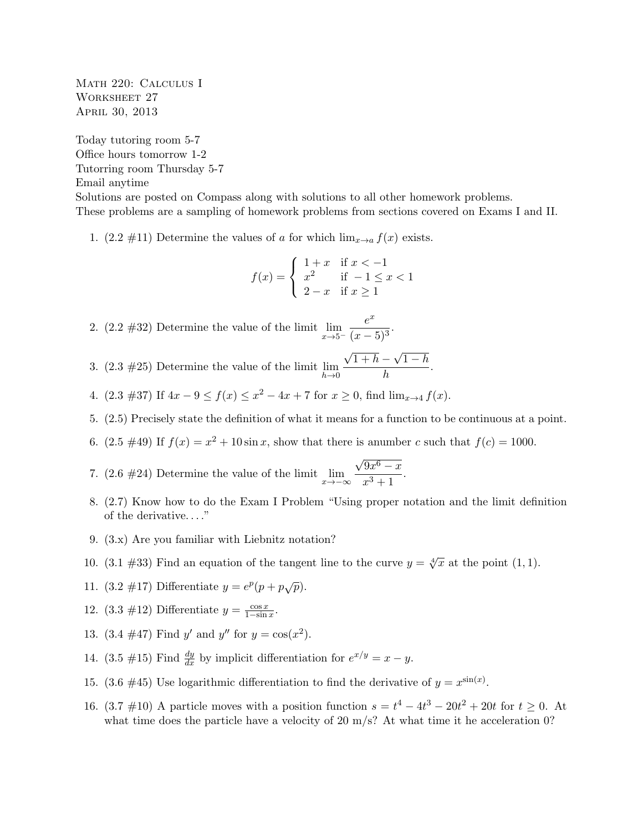Math 220: Calculus I WORKSHEET 27 April 30, 2013

Today tutoring room 5-7 Office hours tomorrow 1-2 Tutorring room Thursday 5-7 Email anytime

Solutions are posted on Compass along with solutions to all other homework problems. These problems are a sampling of homework problems from sections covered on Exams I and II.

1.  $(2.2 \#11)$  Determine the values of a for which  $\lim_{x\to a} f(x)$  exists.

$$
f(x) = \begin{cases} 1+x & \text{if } x < -1 \\ x^2 & \text{if } -1 \le x < 1 \\ 2-x & \text{if } x \ge 1 \end{cases}
$$

2. (2.2 #32) Determine the value of the limit  $\lim_{x\to 5^-}$  $e^x$  $\frac{c}{(x-5)^3}$ 

3.  $(2.3 \#25)$  Determine the value of the limit  $\lim_{h\to 0}$ √  $1 + h -$ √  $1-h$  $\frac{1}{h}$ .

- 4.  $(2.3 \#37)$  If  $4x 9 \le f(x) \le x^2 4x + 7$  for  $x \ge 0$ , find  $\lim_{x \to 4} f(x)$ .
- 5. (2.5) Precisely state the definition of what it means for a function to be continuous at a point.
- 6.  $(2.5 \#49)$  If  $f(x) = x^2 + 10 \sin x$ , show that there is anumber c such that  $f(c) = 1000$ .

7. (2.6 #24) Determine the value of the limit  $\lim_{x \to -\infty}$ √  $\overline{9x^6-x}$  $\frac{x^3+1}{x^3+1}.$ 

- 8. (2.7) Know how to do the Exam I Problem "Using proper notation and the limit definition of the derivative. . . ."
- 9. (3.x) Are you familiar with Liebnitz notation?
- 10. (3.1 #33) Find an equation of the tangent line to the curve  $y = \sqrt[4]{x}$  at the point (1,1).
- 11.  $(3.2 \#17)$  Differentiate  $y = e^{p}(p + p\sqrt{p}).$
- 12.  $(3.3 \#12)$  Differentiate  $y = \frac{\cos x}{1-\sin x}$ .
- 13.  $(3.4 \#47)$  Find y' and y'' for  $y = cos(x^2)$ .
- 14. (3.5 #15) Find  $\frac{dy}{dx}$  by implicit differentiation for  $e^{x/y} = x y$ .
- 15. (3.6 #45) Use logarithmic differentiation to find the derivative of  $y = x^{\sin(x)}$ .
- 16.  $(3.7 \# 10)$  A particle moves with a position function  $s = t^4 4t^3 20t^2 + 20t$  for  $t \ge 0$ . At what time does the particle have a velocity of 20 m/s? At what time it he acceleration 0?